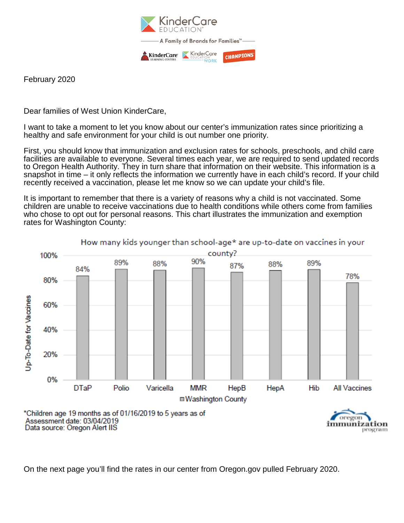

February 2020

Dear families of West Union KinderCare,

I want to take a moment to let you know about our center's immunization rates since prioritizing a healthy and safe environment for your child is out number one priority.

First, you should know that immunization and exclusion rates for schools, preschools, and child care facilities are available to everyone. Several times each year, we are required to send updated records to Oregon Health Authority. They in turn share that information on their website. This information is a snapshot in time – it only reflects the information we currently have in each child's record. If your child recently received a vaccination, please let me know so we can update your child's file.

It is important to remember that there is a variety of reasons why a child is not vaccinated. Some children are unable to receive vaccinations due to health conditions while others come from families who chose to opt out for personal reasons. This chart illustrates the immunization and exemption rates for Washington County:



On the next page you'll find the rates in our center from Oregon.gov pulled February 2020.